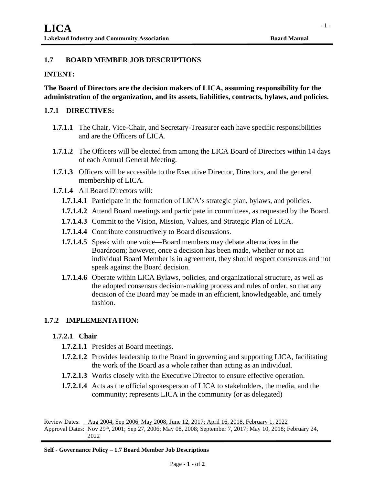# **1.7 BOARD MEMBER JOB DESCRIPTIONS**

## **INTENT:**

**The Board of Directors are the decision makers of LICA, assuming responsibility for the administration of the organization, and its assets, liabilities, contracts, bylaws, and policies.** 

### **1.7.1 DIRECTIVES:**

- **1.7.1.1** The Chair, Vice-Chair, and Secretary-Treasurer each have specific responsibilities and are the Officers of LICA.
- **1.7.1.2** The Officers will be elected from among the LICA Board of Directors within 14 days of each Annual General Meeting.
- **1.7.1.3** Officers will be accessible to the Executive Director, Directors, and the general membership of LICA.
- **1.7.1.4** All Board Directors will:
	- **1.7.1.4.1** Participate in the formation of LICA's strategic plan, bylaws, and policies.
	- **1.7.1.4.2** Attend Board meetings and participate in committees, as requested by the Board.
	- **1.7.1.4.3** Commit to the Vision, Mission, Values, and Strategic Plan of LICA.
	- **1.7.1.4.4** Contribute constructively to Board discussions.
	- **1.7.1.4.5** Speak with one voice—Board members may debate alternatives in the Boardroom; however, once a decision has been made, whether or not an individual Board Member is in agreement, they should respect consensus and not speak against the Board decision.
	- **1.7.1.4.6** Operate within LICA Bylaws, policies, and organizational structure, as well as the adopted consensus decision-making process and rules of order, so that any decision of the Board may be made in an efficient, knowledgeable, and timely fashion.

## **1.7.2 IMPLEMENTATION:**

#### **1.7.2.1 Chair**

- **1.7.2.1.1** Presides at Board meetings.
- **1.7.2.1.2** Provides leadership to the Board in governing and supporting LICA, facilitating the work of the Board as a whole rather than acting as an individual.
- **1.7.2.1.3** Works closely with the Executive Director to ensure effective operation.
- **1.7.2.1.4** Acts as the official spokesperson of LICA to stakeholders, the media, and the community; represents LICA in the community (or as delegated)

Review Dates: Aug 2004, Sep 2006, May 2008; June 12, 2017; April 16, 2018, February 1, 2022 Approval Dates: Nov 29<sup>th</sup>, 2001; Sep 27, 2006; May 08, 2008; September 7, 2017; May 10, 2018; February 24, 2022

- 1 -